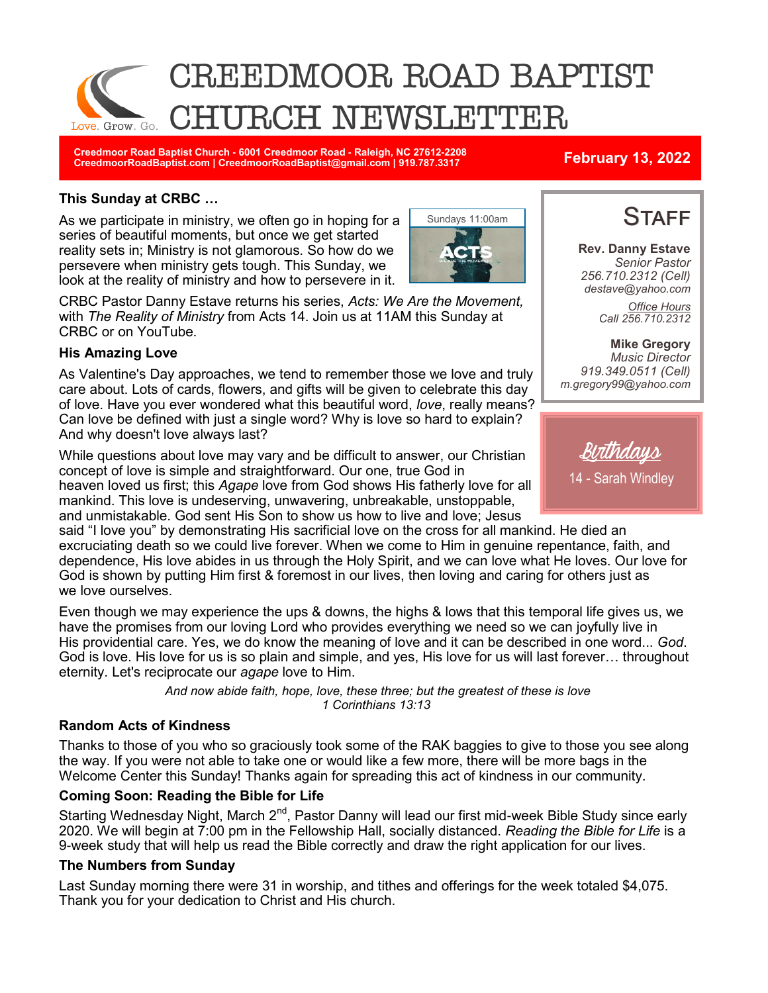

**Creedmoor Road Baptist Church - 6001 Creedmoor Road - Raleigh, NC 27612-2208 CreedmoorRoadBaptist.com | CreedmoorRoadBaptist@gmail.com | 919.787.3317 February 13, 2022**

### **This Sunday at CRBC …**

As we participate in ministry, we often go in hoping for a series of beautiful moments, but once we get started reality sets in; Ministry is not glamorous. So how do we persevere when ministry gets tough. This Sunday, we look at the reality of ministry and how to persevere in it.



CRBC Pastor Danny Estave returns his series, *Acts: We Are the Movement,*  with *The Reality of Ministry* from Acts 14. Join us at 11AM this Sunday at CRBC or on YouTube.

### **His Amazing Love**

As Valentine's Day approaches, we tend to remember those we love and truly care about. Lots of cards, flowers, and gifts will be given to celebrate this day of love. Have you ever wondered what this beautiful word, *love*, really means? Can love be defined with just a single word? Why is love so hard to explain? And why doesn't love always last?

While questions about love may vary and be difficult to answer, our Christian concept of love is simple and straightforward. Our one, true God in

heaven loved us first; this *Agape* love from God shows His fatherly love for all mankind. This love is undeserving, unwavering, unbreakable, unstoppable, and unmistakable. God sent His Son to show us how to live and love; Jesus

said "I love you" by demonstrating His sacrificial love on the cross for all mankind. He died an excruciating death so we could live forever. When we come to Him in genuine repentance, faith, and dependence, His love abides in us through the Holy Spirit, and we can love what He loves. Our love for God is shown by putting Him first & foremost in our lives, then loving and caring for others just as we love ourselves.

Even though we may experience the ups & downs, the highs & lows that this temporal life gives us, we have the promises from our loving Lord who provides everything we need so we can joyfully live in His providential care. Yes, we do know the meaning of love and it can be described in one word... *God*. God is love. His love for us is so plain and simple, and yes, His love for us will last forever… throughout eternity. Let's reciprocate our *agape* love to Him.

> *And now abide faith, hope, love, these three; but the greatest of these is love 1 Corinthians 13:13*

### **Random Acts of Kindness**

Thanks to those of you who so graciously took some of the RAK baggies to give to those you see along the way. If you were not able to take one or would like a few more, there will be more bags in the Welcome Center this Sunday! Thanks again for spreading this act of kindness in our community.

### **Coming Soon: Reading the Bible for Life**

Starting Wednesday Night, March 2<sup>nd</sup>, Pastor Danny will lead our first mid-week Bible Study since early 2020. We will begin at 7:00 pm in the Fellowship Hall, socially distanced. *Reading the Bible for Life* is a 9-week study that will help us read the Bible correctly and draw the right application for our lives.

### **The Numbers from Sunday**

Last Sunday morning there were 31 in worship, and tithes and offerings for the week totaled \$4,075. Thank you for your dedication to Christ and His church.

# **STAFF**

**Rev. Danny Estave** *Senior Pastor 256.710.2312 (Cell) destave@yahoo.com Office Hours Call 256.710.2312* 

**Mike Gregory** *Music Director 919.349.0511 (Cell) m.gregory99@yahoo.com*